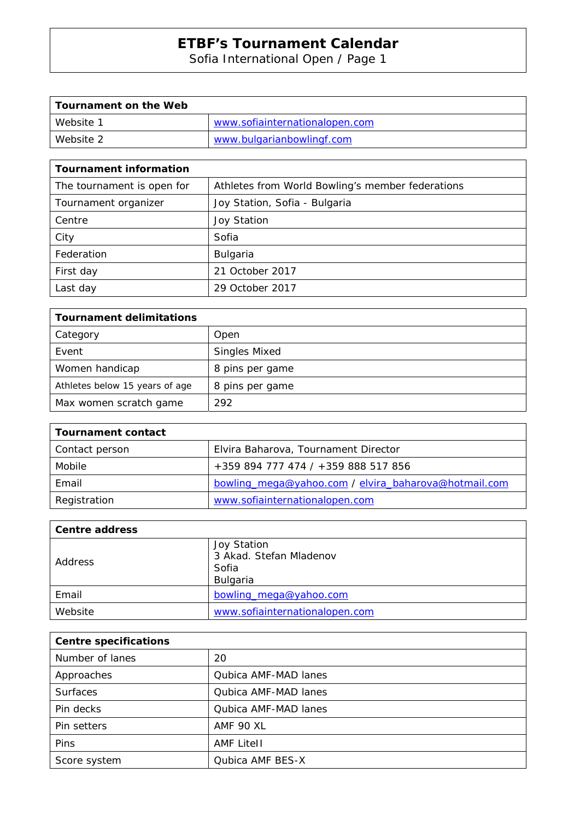Sofia International Open / Page 1

| Tournament on the Web |                                |
|-----------------------|--------------------------------|
| Website 1             | www.sofiainternationalopen.com |
| Website 2             | www.bulgarianbowlingf.com      |

| <b>Tournament information</b> |                                                  |
|-------------------------------|--------------------------------------------------|
| The tournament is open for    | Athletes from World Bowling's member federations |
| Tournament organizer          | Joy Station, Sofia - Bulgaria                    |
| Centre                        | <b>Joy Station</b>                               |
| City                          | Sofia                                            |
| Federation                    | Bulgaria                                         |
| First day                     | 21 October 2017                                  |
| Last day                      | 29 October 2017                                  |

| <b>Tournament delimitations</b> |                      |
|---------------------------------|----------------------|
| Category                        | Open                 |
| Event                           | <b>Singles Mixed</b> |
| Women handicap                  | 8 pins per game      |
| Athletes below 15 years of age  | 8 pins per game      |
| Max women scratch game          | 292                  |

| <b>Tournament contact</b> |                                                      |
|---------------------------|------------------------------------------------------|
| Contact person            | Elvira Baharova, Tournament Director                 |
| Mobile                    | +359 894 777 474 / +359 888 517 856                  |
| Email                     | bowling_mega@yahoo.com / elvira_baharova@hotmail.com |
| Registration              | www.sofiainternationalopen.com                       |

| Centre address |                                                             |
|----------------|-------------------------------------------------------------|
| Address        | Joy Station<br>3 Akad. Stefan Mladenov<br>Sofia<br>Bulgaria |
| Email          | bowling_mega@yahoo.com                                      |
| Website        | www.sofiainternationalopen.com                              |

| <b>Centre specifications</b> |                      |
|------------------------------|----------------------|
| Number of lanes              | 20                   |
| Approaches                   | Qubica AMF-MAD lanes |
| <b>Surfaces</b>              | Qubica AMF-MAD lanes |
| Pin decks                    | Qubica AMF-MAD lanes |
| Pin setters                  | AMF 90 XL            |
| Pins                         | <b>AMF Litell</b>    |
| Score system                 | Qubica AMF BES-X     |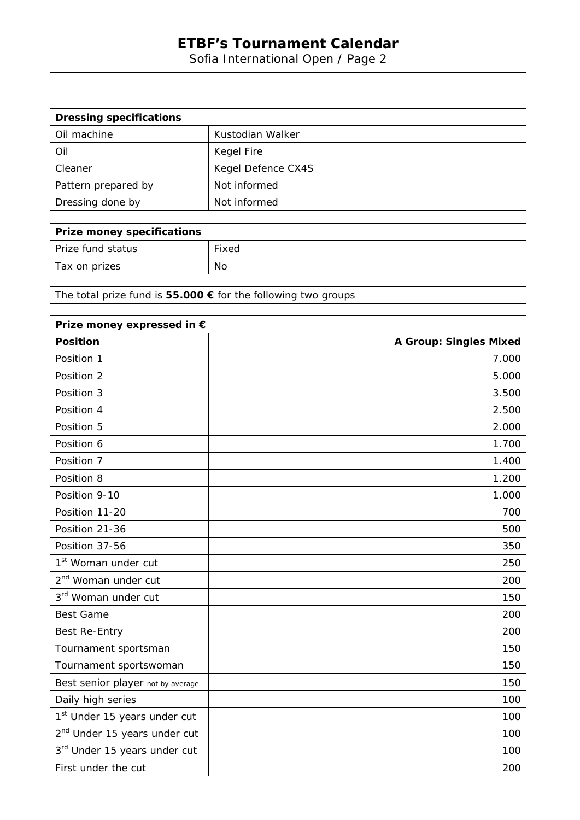Sofia International Open / Page 2

| <b>Dressing specifications</b> |                    |
|--------------------------------|--------------------|
| Oil machine                    | Kustodian Walker   |
| Oil                            | Kegel Fire         |
| Cleaner                        | Kegel Defence CX4S |
| Pattern prepared by            | Not informed       |
| Dressing done by               | Not informed       |

| Prize money specifications |       |
|----------------------------|-------|
| Prize fund status          | Fixed |
| Tax on prizes              | No    |

The total prize fund is **55.000 €** for the following two groups

| Prize money expressed in €               |                               |
|------------------------------------------|-------------------------------|
| <b>Position</b>                          | <b>A Group: Singles Mixed</b> |
| Position 1                               | 7.000                         |
| Position 2                               | 5.000                         |
| Position 3                               | 3.500                         |
| Position 4                               | 2.500                         |
| Position 5                               | 2.000                         |
| Position 6                               | 1.700                         |
| Position 7                               | 1.400                         |
| Position 8                               | 1.200                         |
| Position 9-10                            | 1.000                         |
| Position 11-20                           | 700                           |
| Position 21-36                           | 500                           |
| Position 37-56                           | 350                           |
| 1 <sup>st</sup> Woman under cut          | 250                           |
| 2 <sup>nd</sup> Woman under cut          | 200                           |
| 3 <sup>rd</sup> Woman under cut          | 150                           |
| <b>Best Game</b>                         | 200                           |
| Best Re-Entry                            | 200                           |
| Tournament sportsman                     | 150                           |
| Tournament sportswoman                   | 150                           |
| Best senior player not by average        | 150                           |
| Daily high series                        | 100                           |
| 1 <sup>st</sup> Under 15 years under cut | 100                           |
| 2 <sup>nd</sup> Under 15 years under cut | 100                           |
| 3rd Under 15 years under cut             | 100                           |
| First under the cut                      | 200                           |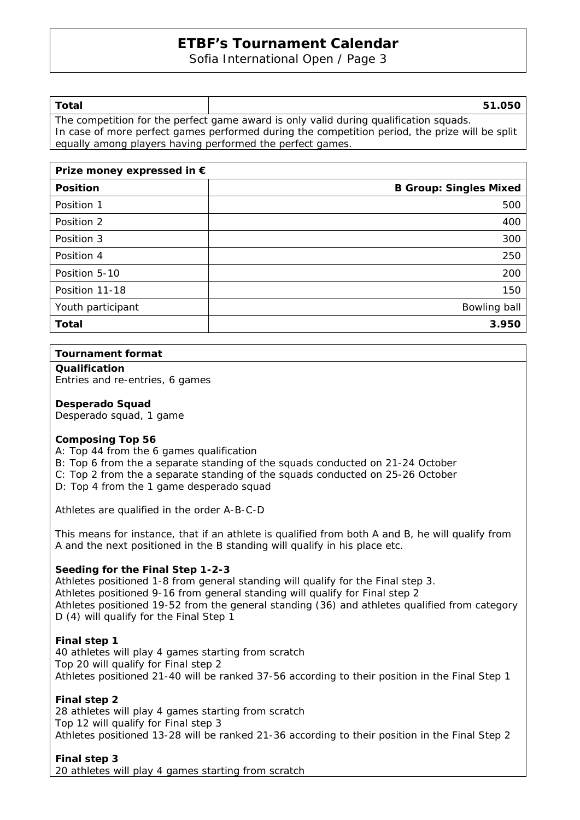Sofia International Open / Page 3

| Total                                                                                 | 51.050                                                                                         |  |
|---------------------------------------------------------------------------------------|------------------------------------------------------------------------------------------------|--|
| The competition for the perfect game award is only valid during qualification squads. |                                                                                                |  |
|                                                                                       | In case of more perfect games performed during the competition period, the prize will be split |  |

equally among players having performed the perfect games.

| Prize money expressed in $\epsilon$ |                               |
|-------------------------------------|-------------------------------|
| <b>Position</b>                     | <b>B Group: Singles Mixed</b> |
| Position 1                          | 500                           |
| Position 2                          | 400                           |
| Position 3                          | 300                           |
| Position 4                          | 250                           |
| Position 5-10                       | 200                           |
| Position 11-18                      | 150                           |
| Youth participant                   | Bowling ball                  |
| Total                               | 3.950                         |

### **Tournament format**

#### **Qualification**

Entries and re-entries, 6 games

## **Desperado Squad**

Desperado squad, 1 game

### **Composing Top 56**

- A: Top 44 from the 6 games qualification
- B: Top 6 from the a separate standing of the squads conducted on 21-24 October
- C: Top 2 from the a separate standing of the squads conducted on 25-26 October

D: Top 4 from the 1 game desperado squad

Athletes are qualified in the order A-B-C-D

This means for instance, that if an athlete is qualified from both A and B, he will qualify from A and the next positioned in the B standing will qualify in his place etc.

### **Seeding for the Final Step 1-2-3**

Athletes positioned 1-8 from general standing will qualify for the Final step 3. Athletes positioned 9-16 from general standing will qualify for Final step 2 Athletes positioned 19-52 from the general standing (36) and athletes qualified from category D (4) will qualify for the Final Step 1

### **Final step 1**

40 athletes will play 4 games starting from scratch Top 20 will qualify for Final step 2 Athletes positioned 21-40 will be ranked 37-56 according to their position in the Final Step 1

### **Final step 2**

28 athletes will play 4 games starting from scratch Top 12 will qualify for Final step 3 Athletes positioned 13-28 will be ranked 21-36 according to their position in the Final Step 2

#### **Final step 3**  20 athletes will play 4 games starting from scratch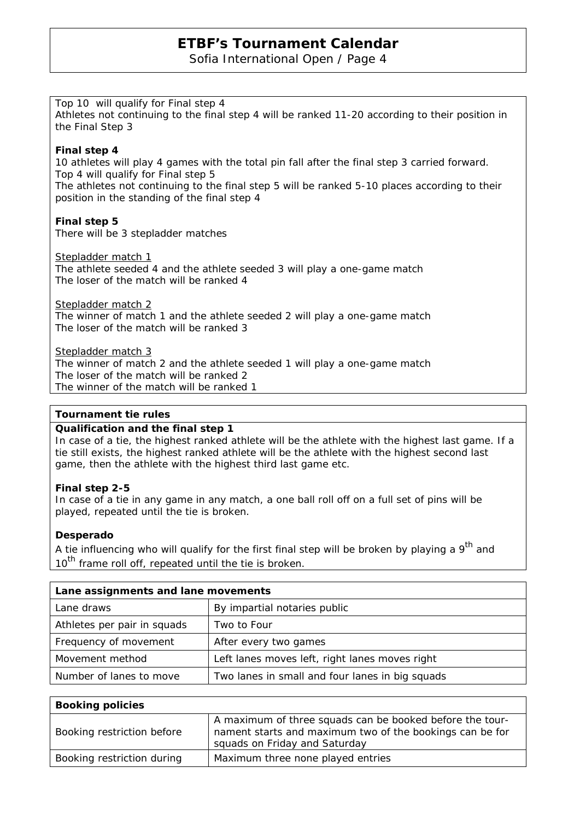Sofia International Open / Page 4

## Top 10 will qualify for Final step 4

Athletes not continuing to the final step 4 will be ranked 11-20 according to their position in the Final Step 3

## **Final step 4**

10 athletes will play 4 games with the total pin fall after the final step 3 carried forward. Top 4 will qualify for Final step 5

The athletes not continuing to the final step 5 will be ranked 5-10 places according to their position in the standing of the final step 4

## **Final step 5**

There will be 3 stepladder matches

Stepladder match 1 The athlete seeded 4 and the athlete seeded 3 will play a one-game match The loser of the match will be ranked 4

Stepladder match 2

The winner of match 1 and the athlete seeded 2 will play a one-game match The loser of the match will be ranked 3

Stepladder match 3

The winner of match 2 and the athlete seeded 1 will play a one-game match The loser of the match will be ranked 2 The winner of the match will be ranked 1

## **Tournament tie rules**

### **Qualification and the final step 1**

In case of a tie, the highest ranked athlete will be the athlete with the highest last game. If a tie still exists, the highest ranked athlete will be the athlete with the highest second last game, then the athlete with the highest third last game etc.

## **Final step 2-5**

In case of a tie in any game in any match, a one ball roll off on a full set of pins will be played, repeated until the tie is broken.

### **Desperado**

A tie influencing who will qualify for the first final step will be broken by playing a  $9<sup>th</sup>$  and 10<sup>th</sup> frame roll off, repeated until the tie is broken.

| Lane assignments and lane movements |                                                 |
|-------------------------------------|-------------------------------------------------|
| Lane draws                          | By impartial notaries public                    |
| Athletes per pair in squads         | Two to Four                                     |
| Frequency of movement               | After every two games                           |
| Movement method                     | Left lanes moves left, right lanes moves right  |
| Number of lanes to move             | Two lanes in small and four lanes in big squads |

| <b>Booking policies</b>    |                                                                                                                                                       |
|----------------------------|-------------------------------------------------------------------------------------------------------------------------------------------------------|
| Booking restriction before | A maximum of three squads can be booked before the tour-<br>nament starts and maximum two of the bookings can be for<br>squads on Friday and Saturday |
| Booking restriction during | Maximum three none played entries                                                                                                                     |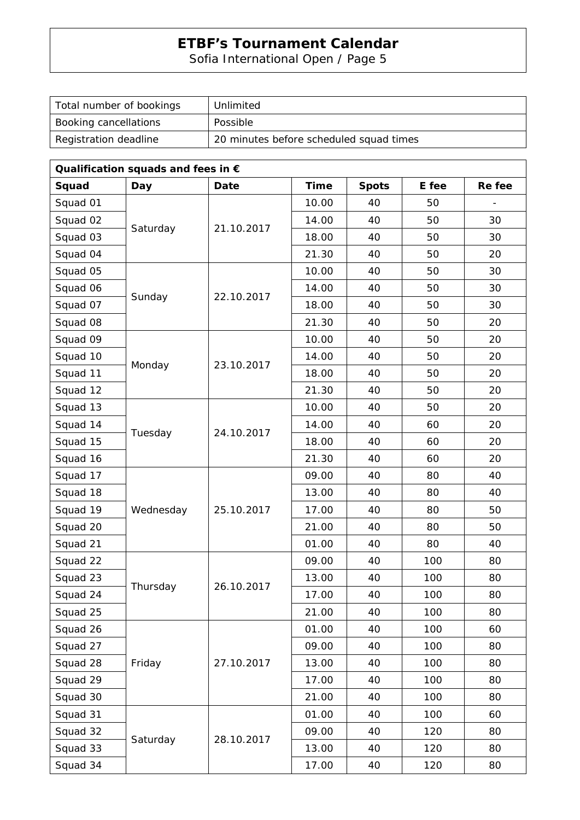Sofia International Open / Page 5

| Unlimited                               |
|-----------------------------------------|
| Possible                                |
| 20 minutes before scheduled squad times |
|                                         |

| Qualification squads and fees in $\epsilon$ |            |            |             |              |       |        |
|---------------------------------------------|------------|------------|-------------|--------------|-------|--------|
| Squad                                       | <b>Day</b> | Date       | <b>Time</b> | <b>Spots</b> | E fee | Re fee |
| Squad 01                                    |            | 21.10.2017 | 10.00       | 40           | 50    |        |
| Squad 02                                    | Saturday   |            | 14.00       | 40           | 50    | 30     |
| Squad 03                                    |            |            | 18.00       | 40           | 50    | 30     |
| Squad 04                                    |            |            | 21.30       | 40           | 50    | 20     |
| Squad 05                                    |            | 22.10.2017 | 10.00       | 40           | 50    | 30     |
| Squad 06                                    | Sunday     |            | 14.00       | 40           | 50    | 30     |
| Squad 07                                    |            |            | 18.00       | 40           | 50    | 30     |
| Squad 08                                    |            |            | 21.30       | 40           | 50    | 20     |
| Squad 09                                    |            |            | 10.00       | 40           | 50    | 20     |
| Squad 10                                    | Monday     | 23.10.2017 | 14.00       | 40           | 50    | 20     |
| Squad 11                                    |            |            | 18.00       | 40           | 50    | 20     |
| Squad 12                                    |            |            | 21.30       | 40           | 50    | 20     |
| Squad 13                                    |            |            | 10.00       | 40           | 50    | 20     |
| Squad 14                                    |            | 24.10.2017 | 14.00       | 40           | 60    | 20     |
| Squad 15                                    | Tuesday    |            | 18.00       | 40           | 60    | 20     |
| Squad 16                                    |            |            | 21.30       | 40           | 60    | 20     |
| Squad 17                                    |            |            | 09.00       | 40           | 80    | 40     |
| Squad 18                                    |            | 25.10.2017 | 13.00       | 40           | 80    | 40     |
| Squad 19                                    | Wednesday  |            | 17.00       | 40           | 80    | 50     |
| Squad 20                                    |            |            | 21.00       | 40           | 80    | 50     |
| Squad 21                                    |            |            | 01.00       | 40           | 80    | 40     |
| Squad 22                                    | Thursday   | 26.10.2017 | 09.00       | 40           | 100   | 80     |
| Squad 23                                    |            |            | 13.00       | 40           | 100   | 80     |
| Squad 24                                    |            |            | 17.00       | 40           | 100   | 80     |
| Squad 25                                    |            |            | 21.00       | 40           | 100   | 80     |
| Squad 26                                    | Friday     | 27.10.2017 | 01.00       | 40           | 100   | 60     |
| Squad 27                                    |            |            | 09.00       | 40           | 100   | 80     |
| Squad 28                                    |            |            | 13.00       | 40           | 100   | 80     |
| Squad 29                                    |            |            | 17.00       | 40           | 100   | 80     |
| Squad 30                                    |            |            | 21.00       | 40           | 100   | 80     |
| Squad 31                                    |            |            | 01.00       | 40           | 100   | 60     |
| Squad 32                                    | Saturday   |            | 09.00       | 40           | 120   | 80     |
| Squad 33                                    |            | 28.10.2017 | 13.00       | 40           | 120   | 80     |
| Squad 34                                    |            |            | 17.00       | 40           | 120   | 80     |